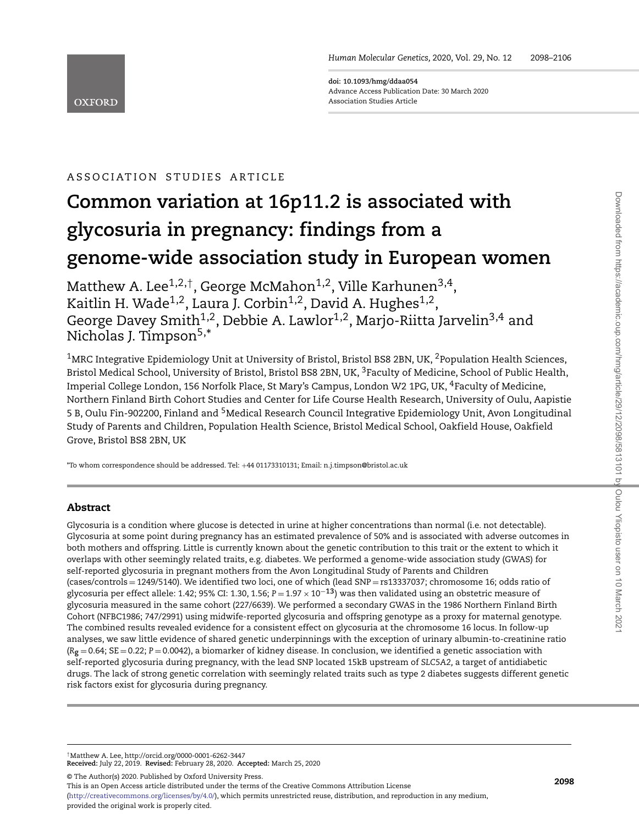**doi: 10.1093/hmg/ddaa054** Advance Access Publication Date: 30 March 2020 Association Studies Article

# ASSOC IAT ION STUD IES ART ICLE

**OXFORD** 

# **Common variation at 16p11.2 is associated with glycosuria in pregnancy: findings from a genome-wide association study in European women**

Matthew A. Lee<sup>1,2,†</sup>, George McMahon<sup>1,2</sup>, Ville Karhunen<sup>3,4</sup>, Kaitlin H. Wade<sup>1,2</sup>, Laura J. Corbin<sup>1,2</sup>, David A. Hughes<sup>1,2</sup>, George Davey Smith $^{1,2}$ , Debbie A. Lawlor $^{1,2}$ , Marjo-Riitta Jarvelin $^{3,4}$  and Nicholas J. Timpson<sup>5,\*</sup>

<sup>1</sup>MRC Integrative Epidemiology Unit at University of Bristol, Bristol BS8 2BN, UK, <sup>2</sup>Population Health Sciences, Bristol Medical School, University of Bristol, Bristol BS8 2BN, UK, <sup>3</sup>Faculty of Medicine, School of Public Health, Imperial College London, 156 Norfolk Place, St Mary's Campus, London W2 1PG, UK, 4Faculty of Medicine, Northern Finland Birth Cohort Studies and Center for Life Course Health Research, University of Oulu, Aapistie 5 B, Oulu Fin-902200, Finland and 5Medical Research Council Integrative Epidemiology Unit, Avon Longitudinal Study of Parents and Children, Population Health Science, Bristol Medical School, Oakfield House, Oakfield Grove, Bristol BS8 2BN, UK

\*To whom correspondence should be addressed. Tel: +44 01173310131; Email: n.j.timpson@bristol.ac.uk

# **Abstract**

Glycosuria is a condition where glucose is detected in urine at higher concentrations than normal (i.e. not detectable). Glycosuria at some point during pregnancy has an estimated prevalence of 50% and is associated with adverse outcomes in both mothers and offspring. Little is currently known about the genetic contribution to this trait or the extent to which it overlaps with other seemingly related traits, e.g. diabetes. We performed a genome-wide association study (GWAS) for self-reported glycosuria in pregnant mothers from the Avon Longitudinal Study of Parents and Children (cases/controls = 1249/5140). We identified two loci, one of which (lead SNP = rs13337037; chromosome 16; odds ratio of glycosuria per effect allele: 1.42; 95% CI: 1.30, 1.56; *<sup>P</sup>* <sup>=</sup> 1.97 <sup>×</sup> <sup>10</sup>−**13**) was then validated using an obstetric measure of glycosuria measured in the same cohort (227/6639). We performed a secondary GWAS in the 1986 Northern Finland Birth Cohort (NFBC1986; 747/2991) using midwife-reported glycosuria and offspring genotype as a proxy for maternal genotype. The combined results revealed evidence for a consistent effect on glycosuria at the chromosome 16 locus. In follow-up analyses, we saw little evidence of shared genetic underpinnings with the exception of urinary albumin-to-creatinine ratio  $(R_g = 0.64$ ;  $SE = 0.22$ ;  $P = 0.0042$ ), a biomarker of kidney disease. In conclusion, we identified a genetic association with self-reported glycosuria during pregnancy, with the lead SNP located 15kB upstream of *SLC5A2,* a target of antidiabetic drugs. The lack of strong genetic correlation with seemingly related traits such as type 2 diabetes suggests different genetic risk factors exist for glycosuria during pregnancy.

†Matthew A. Lee, http://orcid.org/0000-0001-6262-3447 **Received:** July 22, 2019. **Revised:** February 28, 2020. **Accepted:** March 25, 2020

© The Author(s) 2020. Published by Oxford University Press.

This is an Open Access article distributed under the terms of the Creative Commons Attribution License

[\(http://creativecommons.org/licenses/by/4.0/\)](http://creativecommons.org/licenses/by/4.0/), which permits unrestricted reuse, distribution, and reproduction in any medium,

provided the original work is properly cited.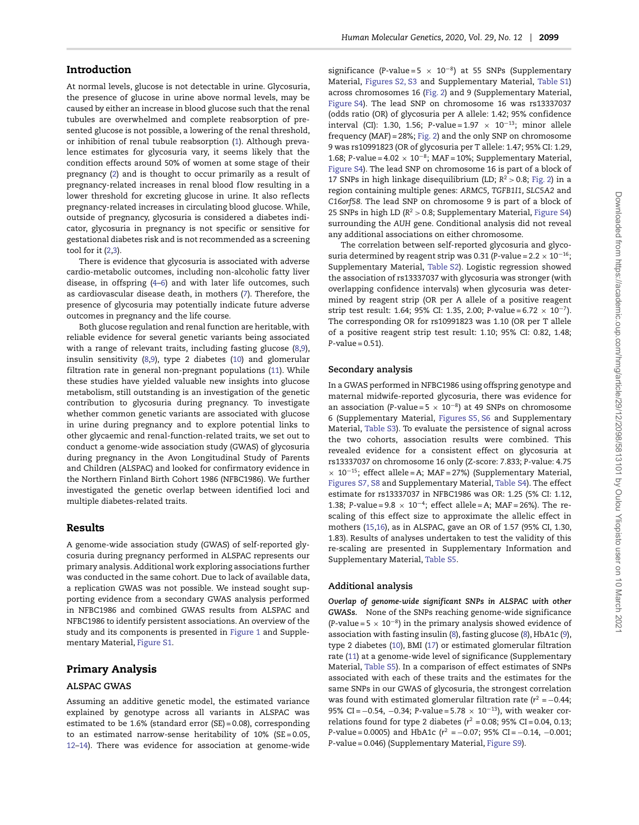At normal levels, glucose is not detectable in urine. Glycosuria, the presence of glucose in urine above normal levels, may be caused by either an increase in blood glucose such that the renal tubules are overwhelmed and complete reabsorption of presented glucose is not possible, a lowering of the renal threshold, or inhibition of renal tubule reabsorption [\(1\)](#page-6-0). Although prevalence estimates for glycosuria vary, it seems likely that the condition effects around 50% of women at some stage of their pregnancy [\(2\)](#page-7-0) and is thought to occur primarily as a result of pregnancy-related increases in renal blood flow resulting in a lower threshold for excreting glucose in urine. It also reflects pregnancy-related increases in circulating blood glucose. While, outside of pregnancy, glycosuria is considered a diabetes indicator, glycosuria in pregnancy is not specific or sensitive for gestational diabetes risk and is not recommended as a screening tool for it [\(2](#page-7-0)[,3\)](#page-7-1).

There is evidence that glycosuria is associated with adverse cardio-metabolic outcomes, including non-alcoholic fatty liver disease, in offspring [\(4](#page-7-2)[–6\)](#page-7-3) and with later life outcomes, such as cardiovascular disease death, in mothers [\(7\)](#page-7-4). Therefore, the presence of glycosuria may potentially indicate future adverse outcomes in pregnancy and the life course.

Both glucose regulation and renal function are heritable, with reliable evidence for several genetic variants being associated with a range of relevant traits, including fasting glucose [\(8](#page-7-5)[,9\)](#page-7-6), insulin sensitivity [\(8](#page-7-5)[,9\)](#page-7-6), type 2 diabetes [\(10\)](#page-7-7) and glomerular filtration rate in general non-pregnant populations [\(11\)](#page-7-8). While these studies have yielded valuable new insights into glucose metabolism, still outstanding is an investigation of the genetic contribution to glycosuria during pregnancy. To investigate whether common genetic variants are associated with glucose in urine during pregnancy and to explore potential links to other glycaemic and renal-function-related traits, we set out to conduct a genome-wide association study (GWAS) of glycosuria during pregnancy in the Avon Longitudinal Study of Parents and Children (ALSPAC) and looked for confirmatory evidence in the Northern Finland Birth Cohort 1986 (NFBC1986). We further investigated the genetic overlap between identified loci and multiple diabetes-related traits.

#### **Results**

A genome-wide association study (GWAS) of self-reported glycosuria during pregnancy performed in ALSPAC represents our primary analysis. Additional work exploring associations further was conducted in the same cohort. Due to lack of available data, a replication GWAS was not possible. We instead sought supporting evidence from a secondary GWAS analysis performed in NFBC1986 and combined GWAS results from ALSPAC and NFBC1986 to identify persistent associations. An overview of the study and its components is presented in [Figure 1](#page-2-0) and Supplementary Material, Figure S1.

### **Primary Analysis**

#### **ALSPAC GWAS**

Assuming an additive genetic model, the estimated variance explained by genotype across all variants in ALSPAC was estimated to be 1.6% (standard error (SE) = 0.08), corresponding to an estimated narrow-sense heritability of 10% (SE = 0.05, [12](#page-7-9)[–14\)](#page-7-10). There was evidence for association at genome-wide significance ( $P$ -value = 5  $\times$  10<sup>-8</sup>) at 55 SNPs (Supplementary Material, Figures S2, S3 and Supplementary Material, Table S1) across chromosomes 16 [\(Fig. 2\)](#page-2-1) and 9 (Supplementary Material, Figure S4). The lead SNP on chromosome 16 was rs13337037 (odds ratio (OR) of glycosuria per A allele: 1.42; 95% confidence interval (CI): 1.30, 1.56; *P*-value =  $1.97 \times 10^{-13}$ ; minor allele frequency (MAF) = 28%; [Fig. 2\)](#page-2-1) and the only SNP on chromosome 9 was rs10991823 (OR of glycosuria per T allele: 1.47; 95% CI: 1.29, 1.68; *P*-value = 4.02 × 10−8; MAF = 10%; Supplementary Material, Figure S4). The lead SNP on chromosome 16 is part of a block of 17 SNPs in high linkage disequilibrium (LD; *R*<sup>2</sup> *>* 0.8; [Fig. 2\)](#page-2-1) in a region containing multiple genes: *ARMC5, TGFB1I1, SLC5A2* and *C16orf58.* The lead SNP on chromosome 9 is part of a block of 25 SNPs in high LD (*R*<sup>2</sup> *>* 0.8; Supplementary Material, Figure S4) surrounding the *AUH* gene. Conditional analysis did not reveal any additional associations on either chromosome.

The correlation between self-reported glycosuria and glycosuria determined by reagent strip was 0.31 (*P*-value =  $2.2 \times 10^{-16}$ ; Supplementary Material, Table S2). Logistic regression showed the association of rs13337037 with glycosuria was stronger (with overlapping confidence intervals) when glycosuria was determined by reagent strip (OR per A allele of a positive reagent strip test result: 1.64; 95% CI: 1.35, 2.00; *P*-value = 6.72 × 10−7). The corresponding OR for rs10991823 was 1.10 (OR per T allele of a positive reagent strip test result: 1.10; 95% CI: 0.82, 1.48; *P*-value = 0.51).

#### **Secondary analysis**

In a GWAS performed in NFBC1986 using offspring genotype and maternal midwife-reported glycosuria, there was evidence for an association (*P*-value = 5 × 10−8) at 49 SNPs on chromosome 6 (Supplementary Material, Figures S5, S6 and Supplementary Material, Table S3). To evaluate the persistence of signal across the two cohorts, association results were combined. This revealed evidence for a consistent effect on glycosuria at rs13337037 on chromosome 16 only (Z-score: 7.833; *P*-value: 4.75  $\times$  10<sup>-15</sup>; effect allele = A; MAF = 27%) (Supplementary Material, Figures S7, S8 and Supplementary Material, Table S4). The effect estimate for rs13337037 in NFBC1986 was OR: 1.25 (5% CI: 1.12, 1.38; *P*-value = 9.8 × 10−4; effect allele = A; MAF = 26%). The rescaling of this effect size to approximate the allelic effect in mothers [\(15](#page-7-11)[,16\)](#page-7-12), as in ALSPAC, gave an OR of 1.57 (95% CI, 1.30, 1.83). Results of analyses undertaken to test the validity of this re-scaling are presented in Supplementary Information and Supplementary Material, Table S5.

#### **Additional analysis**

*Overlap of genome-wide significant SNPs in ALSPAC with other GWASs.* None of the SNPs reaching genome-wide significance (*P*-value =  $5 \times 10^{-8}$ ) in the primary analysis showed evidence of association with fasting insulin [\(8\)](#page-7-5), fasting glucose [\(8\)](#page-7-5), HbA1c [\(9\)](#page-7-6), type 2 diabetes [\(10\)](#page-7-7), BMI [\(17\)](#page-7-13) or estimated glomerular filtration rate [\(11\)](#page-7-8) at a genome-wide level of significance (Supplementary Material, Table S5). In a comparison of effect estimates of SNPs associated with each of these traits and the estimates for the same SNPs in our GWAS of glycosuria, the strongest correlation was found with estimated glomerular filtration rate  $(r^2 = -0.44;$ 95% CI = −0.54, −0.34; *P*-value = 5.78 × 10<sup>-13</sup>), with weaker correlations found for type 2 diabetes ( $r^2$  = 0.08; 95% CI = 0.04, 0.13; *P*-value = 0.0005) and HbA1c ( $r^2$  = −0.07; 95% CI = −0.14, −0.001; *P*-value = 0.046) (Supplementary Material, Figure S9).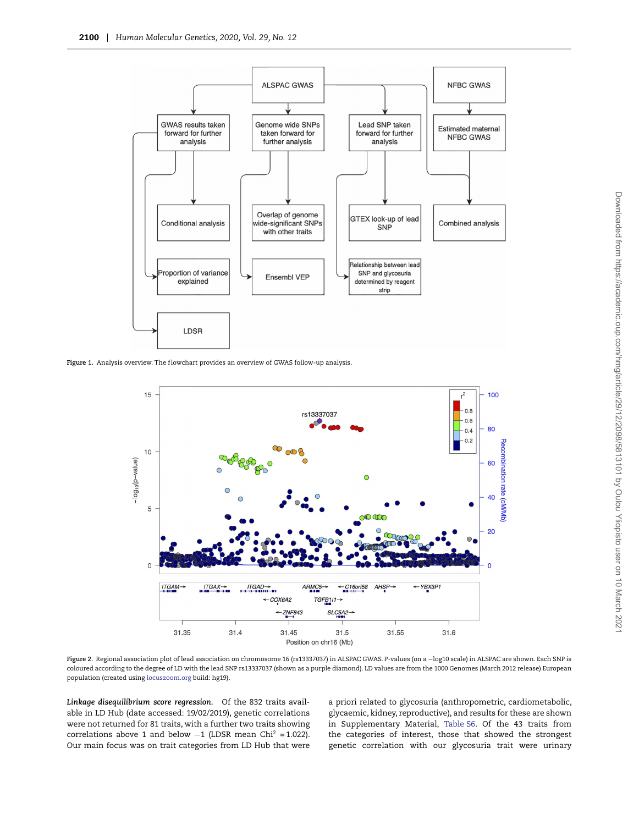

<span id="page-2-0"></span>Figure 1. Analysis overview. The flowchart provides an overview of GWAS follow-up analysis.



<span id="page-2-1"></span>**Figure 2.** Regional association plot of lead association on chromosome 16 (rs13337037) in ALSPAC GWAS. *P*-values (on a −log10 scale) in ALSPAC are shown. Each SNP is coloured according to the degree of LD with the lead SNP rs13337037 (shown as a purple diamond). LD values are from the 1000 Genomes (March 2012 release) European population (created using <locuszoom.org> build: hg19).

*Linkage disequilibrium score regression.* Of the 832 traits available in LD Hub (date accessed: 19/02/2019), genetic correlations were not returned for 81 traits, with a further two traits showing correlations above 1 and below  $-1$  (LDSR mean Chi<sup>2</sup> = 1.022). Our main focus was on trait categories from LD Hub that were

a priori related to glycosuria (anthropometric, cardiometabolic, glycaemic, kidney, reproductive), and results for these are shown in Supplementary Material, Table S6. Of the 43 traits from the categories of interest, those that showed the strongest genetic correlation with our glycosuria trait were urinary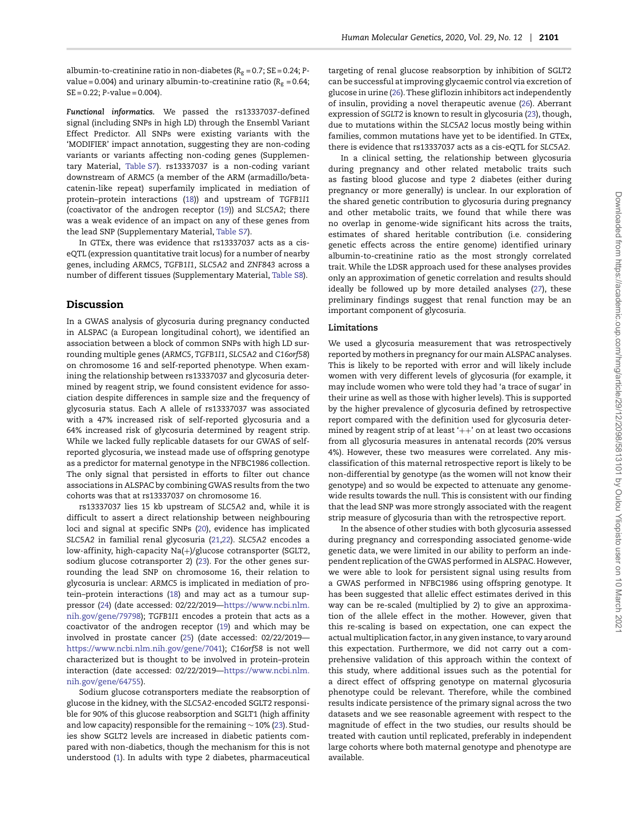albumin-to-creatinine ratio in non-diabetes ( $R_g = 0.7$ ; SE = 0.24; Pvalue = 0.004) and urinary albumin-to-creatinine ratio ( $R_g$  = 0.64; SE = 0.22; *P*-value = 0.004).

*Functional informatics.* We passed the rs13337037-defined signal (including SNPs in high LD) through the Ensembl Variant Effect Predictor. All SNPs were existing variants with the 'MODIFIER' impact annotation, suggesting they are non-coding variants or variants affecting non-coding genes (Supplementary Material, Table S7). rs13337037 is a non-coding variant downstream of *ARMC5* (a member of the ARM (armadillo/betacatenin-like repeat) superfamily implicated in mediation of protein–protein interactions [\(18\)](#page-7-14)) and upstream of *TGFB1I1* (coactivator of the androgen receptor [\(19\)](#page-7-15)) and *SLC5A2*; there was a weak evidence of an impact on any of these genes from the lead SNP (Supplementary Material, Table S7).

In GTEx, there was evidence that rs13337037 acts as a ciseQTL (expression quantitative trait locus) for a number of nearby genes, including *ARMC5, TGFB1I1, SLC5A2* and *ZNF843* across a number of different tissues (Supplementary Material, Table S8).

#### **Discussion**

In a GWAS analysis of glycosuria during pregnancy conducted in ALSPAC (a European longitudinal cohort), we identified an association between a block of common SNPs with high LD surrounding multiple genes (*ARMC5, TGFB1I1, SLC5A2* and *C16orf58*) on chromosome 16 and self-reported phenotype. When examining the relationship between rs13337037 and glycosuria determined by reagent strip, we found consistent evidence for association despite differences in sample size and the frequency of glycosuria status. Each A allele of rs13337037 was associated with a 47% increased risk of self-reported glycosuria and a 64% increased risk of glycosuria determined by reagent strip. While we lacked fully replicable datasets for our GWAS of selfreported glycosuria, we instead made use of offspring genotype as a predictor for maternal genotype in the NFBC1986 collection. The only signal that persisted in efforts to filter out chance associations in ALSPAC by combining GWAS results from the two cohorts was that at rs13337037 on chromosome 16.

rs13337037 lies 15 kb upstream of *SLC5A2* and, while it is difficult to assert a direct relationship between neighbouring loci and signal at specific SNPs [\(20\)](#page-7-16), evidence has implicated *SLC5A2* in familial renal glycosuria [\(21](#page-7-17)[,22\)](#page-7-18). *SLC5A2* encodes a low-affinity, high-capacity Na(+)/glucose cotransporter (SGLT2, sodium glucose cotransporter 2) [\(23\)](#page-7-19). For the other genes surrounding the lead SNP on chromosome 16, their relation to glycosuria is unclear: *ARMC5* is implicated in mediation of protein–protein interactions [\(18\)](#page-7-14) and may act as a tumour suppressor [\(24\)](#page-7-20) (date accessed: 02/22/2019[—https://www.ncbi.nlm.](https://www.ncbi.nlm.nih.gov/gene/79798) [nih.gov/gene/79798\)](https://www.ncbi.nlm.nih.gov/gene/79798); *TGFB1I1* encodes a protein that acts as a coactivator of the androgen receptor [\(19\)](#page-7-15) and which may be involved in prostate cancer [\(25\)](#page-7-21) (date accessed: 02/22/2019 [https://www.ncbi.nlm.nih.gov/gene/7041\)](https://www.ncbi.nlm.nih.gov/gene/7041); *C16orf58* is not well characterized but is thought to be involved in protein–protein interaction (date accessed: 02/22/2019[—https://www.ncbi.nlm.](https://www.ncbi.nlm.nih.gov/gene/64755) [nih.gov/gene/64755\)](https://www.ncbi.nlm.nih.gov/gene/64755).

Sodium glucose cotransporters mediate the reabsorption of glucose in the kidney, with the *SLC5A2-*encoded SGLT2 responsible for 90% of this glucose reabsorption and SGLT1 (high affinity and low capacity) responsible for the remaining ∼ 10% [\(23\)](#page-7-19). Studies show SGLT2 levels are increased in diabetic patients compared with non-diabetics, though the mechanism for this is not understood [\(1\)](#page-6-0). In adults with type 2 diabetes, pharmaceutical targeting of renal glucose reabsorption by inhibition of SGLT2 can be successful at improving glycaemic control via excretion of glucose in urine [\(26\)](#page-7-22). These glif lozin inhibitors act independently of insulin, providing a novel therapeutic avenue [\(26\)](#page-7-22). Aberrant expression of *SGLT2* is known to result in glycosuria [\(23\)](#page-7-19), though, due to mutations within the *SLC5A2* locus mostly being within families, common mutations have yet to be identified. In GTEx, there is evidence that rs13337037 acts as a cis-eQTL for *SLC5A2*.

In a clinical setting, the relationship between glycosuria during pregnancy and other related metabolic traits such as fasting blood glucose and type 2 diabetes (either during pregnancy or more generally) is unclear. In our exploration of the shared genetic contribution to glycosuria during pregnancy and other metabolic traits, we found that while there was no overlap in genome-wide significant hits across the traits, estimates of shared heritable contribution (i.e. considering genetic effects across the entire genome) identified urinary albumin-to-creatinine ratio as the most strongly correlated trait. While the LDSR approach used for these analyses provides only an approximation of genetic correlation and results should ideally be followed up by more detailed analyses [\(27\)](#page-7-23), these preliminary findings suggest that renal function may be an important component of glycosuria.

#### **Limitations**

We used a glycosuria measurement that was retrospectively reported by mothers in pregnancy for our main ALSPAC analyses. This is likely to be reported with error and will likely include women with very different levels of glycosuria (for example, it may include women who were told they had 'a trace of sugar' in their urine as well as those with higher levels). This is supported by the higher prevalence of glycosuria defined by retrospective report compared with the definition used for glycosuria determined by reagent strip of at least  $'++'$  on at least two occasions from all glycosuria measures in antenatal records (20% versus 4%). However, these two measures were correlated. Any misclassification of this maternal retrospective report is likely to be non-differential by genotype (as the women will not know their genotype) and so would be expected to attenuate any genomewide results towards the null. This is consistent with our finding that the lead SNP was more strongly associated with the reagent strip measure of glycosuria than with the retrospective report.

In the absence of other studies with both glycosuria assessed during pregnancy and corresponding associated genome-wide genetic data, we were limited in our ability to perform an independent replication of the GWAS performed in ALSPAC. However, we were able to look for persistent signal using results from a GWAS performed in NFBC1986 using offspring genotype. It has been suggested that allelic effect estimates derived in this way can be re-scaled (multiplied by 2) to give an approximation of the allele effect in the mother. However, given that this re-scaling is based on expectation, one can expect the actual multiplication factor, in any given instance, to vary around this expectation. Furthermore, we did not carry out a comprehensive validation of this approach within the context of this study, where additional issues such as the potential for a direct effect of offspring genotype on maternal glycosuria phenotype could be relevant. Therefore, while the combined results indicate persistence of the primary signal across the two datasets and we see reasonable agreement with respect to the magnitude of effect in the two studies, our results should be treated with caution until replicated, preferably in independent large cohorts where both maternal genotype and phenotype are available.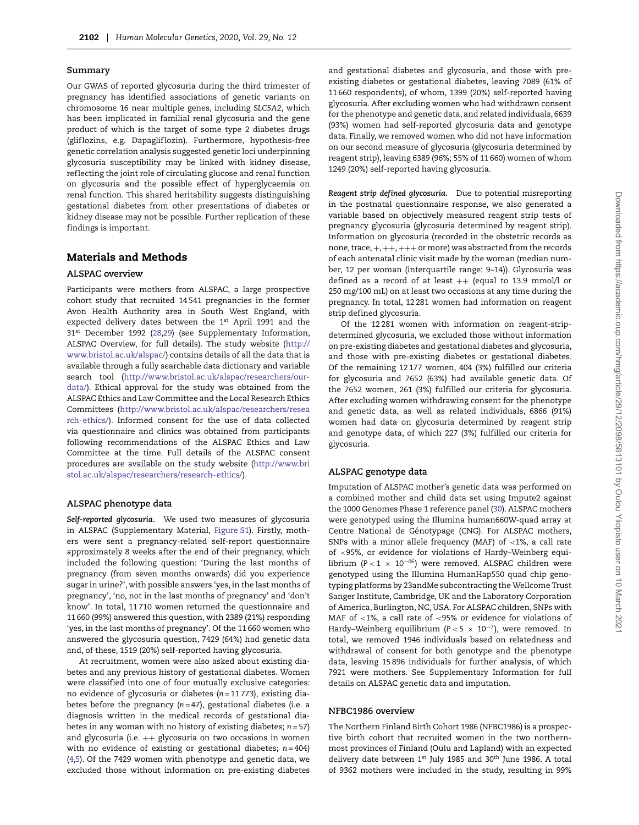#### **Summary**

Our GWAS of reported glycosuria during the third trimester of pregnancy has identified associations of genetic variants on chromosome 16 near multiple genes, including *SLC5A2*, which has been implicated in familial renal glycosuria and the gene product of which is the target of some type 2 diabetes drugs (glif lozins, e.g. Dapaglif lozin). Furthermore, hypothesis-free genetic correlation analysis suggested genetic loci underpinning glycosuria susceptibility may be linked with kidney disease, ref lecting the joint role of circulating glucose and renal function on glycosuria and the possible effect of hyperglycaemia on renal function. This shared heritability suggests distinguishing gestational diabetes from other presentations of diabetes or kidney disease may not be possible. Further replication of these findings is important.

# **Materials and Methods**

#### **ALSPAC overview**

Participants were mothers from ALSPAC, a large prospective cohort study that recruited 14 541 pregnancies in the former Avon Health Authority area in South West England, with expected delivery dates between the 1<sup>st</sup> April 1991 and the 31<sup>st</sup> December 1992 [\(28,](#page-7-24)[29\)](#page-7-25) (see Supplementary Information, ALSPAC Overview, for full details). The study website [\(http://](http://www.bristol.ac.uk/alspac/) [www.bristol.ac.uk/alspac/\)](http://www.bristol.ac.uk/alspac/) contains details of all the data that is available through a fully searchable data dictionary and variable search tool [\(http://www.bristol.ac.uk/alspac/researchers/our](http://www.bristol.ac.uk/alspac/researchers/our-data/)[data/\)](http://www.bristol.ac.uk/alspac/researchers/our-data/). Ethical approval for the study was obtained from the ALSPAC Ethics and Law Committee and the Local Research Ethics Committees [\(http://www.bristol.ac.uk/alspac/researchers/resea](http://www.bristol.ac.uk/alspac/researchers/research-ethics/) [rch-ethics/\)](http://www.bristol.ac.uk/alspac/researchers/research-ethics/). Informed consent for the use of data collected via questionnaire and clinics was obtained from participants following recommendations of the ALSPAC Ethics and Law Committee at the time. Full details of the ALSPAC consent procedures are available on the study website [\(http://www.bri](http://www.bristol.ac.uk/alspac/researchers/research-ethics/) [stol.ac.uk/alspac/researchers/research-ethics/\)](http://www.bristol.ac.uk/alspac/researchers/research-ethics/).

#### **ALSPAC phenotype data**

*Self-reported glycosuria.* We used two measures of glycosuria in ALSPAC (Supplementary Material, Figure S1). Firstly, mothers were sent a pregnancy-related self-report questionnaire approximately 8 weeks after the end of their pregnancy, which included the following question: 'During the last months of pregnancy (from seven months onwards) did you experience sugar in urine?', with possible answers 'yes, in the last months of pregnancy', 'no, not in the last months of pregnancy' and 'don't know'. In total, 11 710 women returned the questionnaire and 11 660 (99%) answered this question, with 2389 (21%) responding 'yes, in the last months of pregnancy'. Of the 11 660 women who answered the glycosuria question, 7429 (64%) had genetic data and, of these, 1519 (20%) self-reported having glycosuria.

At recruitment, women were also asked about existing diabetes and any previous history of gestational diabetes. Women were classified into one of four mutually exclusive categories: no evidence of glycosuria or diabetes (*n* = 11 773), existing diabetes before the pregnancy (*n* = 47), gestational diabetes (i.e. a diagnosis written in the medical records of gestational diabetes in any woman with no history of existing diabetes; *n* = 57) and glycosuria (i.e. ++ glycosuria on two occasions in women with no evidence of existing or gestational diabetes; *n* = 404) [\(4](#page-7-2)[,5\)](#page-7-26). Of the 7429 women with phenotype and genetic data, we excluded those without information on pre-existing diabetes and gestational diabetes and glycosuria, and those with preexisting diabetes or gestational diabetes, leaving 7089 (61% of 11 660 respondents), of whom, 1399 (20%) self-reported having glycosuria. After excluding women who had withdrawn consent for the phenotype and genetic data, and related individuals, 6639 (93%) women had self-reported glycosuria data and genotype data. Finally, we removed women who did not have information on our second measure of glycosuria (glycosuria determined by reagent strip), leaving 6389 (96%; 55% of 11 660) women of whom 1249 (20%) self-reported having glycosuria.

*Reagent strip defined glycosuria.* Due to potential misreporting in the postnatal questionnaire response, we also generated a variable based on objectively measured reagent strip tests of pregnancy glycosuria (glycosuria determined by reagent strip). Information on glycosuria (recorded in the obstetric records as none, trace,+,++,+++ or more) was abstracted from the records of each antenatal clinic visit made by the woman (median number, 12 per woman (interquartile range: 9–14)). Glycosuria was defined as a record of at least  $++$  (equal to 13.9 mmol/l or 250 mg/100 mL) on at least two occasions at any time during the pregnancy. In total, 12 281 women had information on reagent strip defined glycosuria.

Of the 12 281 women with information on reagent-stripdetermined glycosuria, we excluded those without information on pre-existing diabetes and gestational diabetes and glycosuria, and those with pre-existing diabetes or gestational diabetes. Of the remaining 12 177 women, 404 (3%) fulfilled our criteria for glycosuria and 7652 (63%) had available genetic data. Of the 7652 women, 261 (3%) fulfilled our criteria for glycosuria. After excluding women withdrawing consent for the phenotype and genetic data, as well as related individuals, 6866 (91%) women had data on glycosuria determined by reagent strip and genotype data, of which 227 (3%) fulfilled our criteria for glycosuria.

#### **ALSPAC genotype data**

Imputation of ALSPAC mother's genetic data was performed on a combined mother and child data set using Impute2 against the 1000 Genomes Phase 1 reference panel [\(30\)](#page-7-27). ALSPAC mothers were genotyped using the Illumina human660W-quad array at Centre National de Génotypage (CNG). For ALSPAC mothers, SNPs with a minor allele frequency (MAF) of *<*1%, a call rate of *<*95%, or evidence for violations of Hardy–Weinberg equilibrium (*P <* 1 × 10−06) were removed. ALSPAC children were genotyped using the Illumina HumanHap550 quad chip genotyping platforms by 23andMe subcontracting the Wellcome Trust Sanger Institute, Cambridge, UK and the Laboratory Corporation of America, Burlington, NC, USA. For ALSPAC children, SNPs with MAF of *<*1%, a call rate of *<*95% or evidence for violations of Hardy–Weinberg equilibrium (*P <* 5 × 10−7), were removed. In total, we removed 1946 individuals based on relatedness and withdrawal of consent for both genotype and the phenotype data, leaving 15 896 individuals for further analysis, of which 7921 were mothers. See Supplementary Information for full details on ALSPAC genetic data and imputation.

#### **NFBC1986 overview**

The Northern Finland Birth Cohort 1986 (NFBC1986) is a prospective birth cohort that recruited women in the two northernmost provinces of Finland (Oulu and Lapland) with an expected delivery date between 1st July 1985 and 30<sup>th</sup> June 1986. A total of 9362 mothers were included in the study, resulting in 99%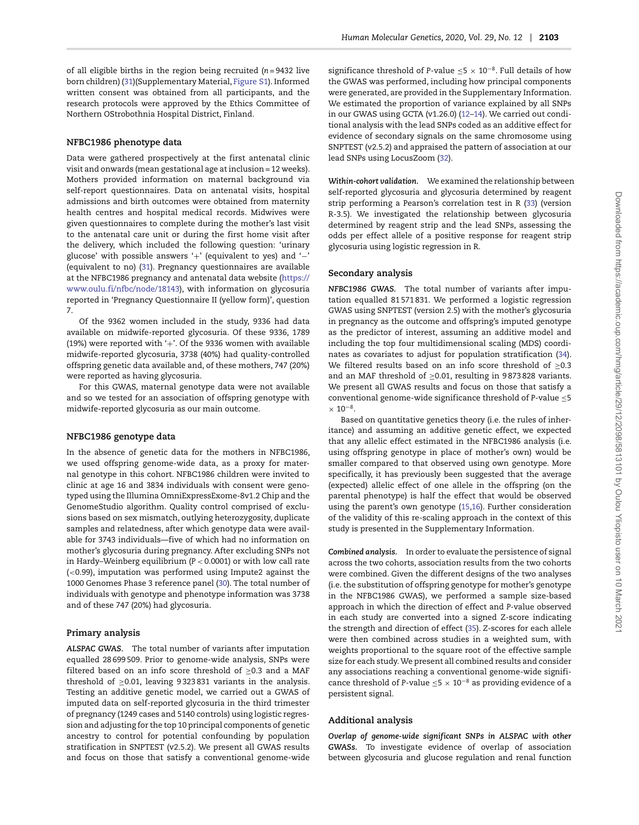of all eligible births in the region being recruited (*n* = 9432 live born children) [\(31\)](#page-8-0)(Supplementary Material, Figure S1). Informed written consent was obtained from all participants, and the research protocols were approved by the Ethics Committee of Northern OStrobothnia Hospital District, Finland.

#### **NFBC1986 phenotype data**

Data were gathered prospectively at the first antenatal clinic visit and onwards (mean gestational age at inclusion = 12 weeks). Mothers provided information on maternal background via self-report questionnaires. Data on antenatal visits, hospital admissions and birth outcomes were obtained from maternity health centres and hospital medical records. Midwives were given questionnaires to complete during the mother's last visit to the antenatal care unit or during the first home visit after the delivery, which included the following question: 'urinary glucose' with possible answers '+' (equivalent to yes) and '−' (equivalent to no) [\(31\)](#page-8-0). Pregnancy questionnaires are available at the NFBC1986 pregnancy and antenatal data website [\(https://](https://www.oulu.fi/nfbc/node/18143) [www.oulu.fi/nfbc/node/18143\)](https://www.oulu.fi/nfbc/node/18143), with information on glycosuria reported in 'Pregnancy Questionnaire II (yellow form)', question 7.

Of the 9362 women included in the study, 9336 had data available on midwife-reported glycosuria. Of these 9336, 1789 (19%) were reported with '+'. Of the 9336 women with available midwife-reported glycosuria, 3738 (40%) had quality-controlled offspring genetic data available and, of these mothers, 747 (20%) were reported as having glycosuria.

For this GWAS, maternal genotype data were not available and so we tested for an association of offspring genotype with midwife-reported glycosuria as our main outcome.

#### **NFBC1986 genotype data**

In the absence of genetic data for the mothers in NFBC1986, we used offspring genome-wide data, as a proxy for maternal genotype in this cohort. NFBC1986 children were invited to clinic at age 16 and 3834 individuals with consent were genotyped using the Illumina OmniExpressExome-8v1.2 Chip and the GenomeStudio algorithm. Quality control comprised of exclusions based on sex mismatch, outlying heterozygosity, duplicate samples and relatedness, after which genotype data were available for 3743 individuals—five of which had no information on mother's glycosuria during pregnancy. After excluding SNPs not in Hardy–Weinberg equilibrium (*P <* 0.0001) or with low call rate (*<*0.99), imputation was performed using Impute2 against the 1000 Genomes Phase 3 reference panel [\(30\)](#page-7-27). The total number of individuals with genotype and phenotype information was 3738 and of these 747 (20%) had glycosuria.

#### **Primary analysis**

*ALSPAC GWAS.* The total number of variants after imputation equalled 28 699 509. Prior to genome-wide analysis, SNPs were filtered based on an info score threshold of  $\geq$ 0.3 and a MAF threshold of ≥0.01, leaving 9 323 831 variants in the analysis. Testing an additive genetic model, we carried out a GWAS of imputed data on self-reported glycosuria in the third trimester of pregnancy (1249 cases and 5140 controls) using logistic regression and adjusting for the top 10 principal components of genetic ancestry to control for potential confounding by population stratification in SNPTEST (v2.5.2). We present all GWAS results and focus on those that satisfy a conventional genome-wide significance threshold of *P*-value ≤5 × 10−8. Full details of how the GWAS was performed, including how principal components were generated, are provided in the Supplementary Information. We estimated the proportion of variance explained by all SNPs in our GWAS using GCTA (v1.26.0) [\(12–](#page-7-25)[14\)](#page-7-10). We carried out conditional analysis with the lead SNPs coded as an additive effect for evidence of secondary signals on the same chromosome using SNPTEST (v2.5.2) and appraised the pattern of association at our lead SNPs using LocusZoom [\(32\)](#page-8-1).

*Within-cohort validation.* We examined the relationship between self-reported glycosuria and glycosuria determined by reagent strip performing a Pearson's correlation test in R [\(33\)](#page-8-2) (version R-3.5). We investigated the relationship between glycosuria determined by reagent strip and the lead SNPs, assessing the odds per effect allele of a positive response for reagent strip glycosuria using logistic regression in R.

#### **Secondary analysis**

*NFBC1986 GWAS.* The total number of variants after imputation equalled 81 571 831. We performed a logistic regression GWAS using SNPTEST (version 2.5) with the mother's glycosuria in pregnancy as the outcome and offspring's imputed genotype as the predictor of interest, assuming an additive model and including the top four multidimensional scaling (MDS) coordinates as covariates to adjust for population stratification [\(34\)](#page-8-3). We filtered results based on an info score threshold of  $\geq 0.3$ and an MAF threshold of ≥0.01, resulting in 9 873 828 variants. We present all GWAS results and focus on those that satisfy a conventional genome-wide significance threshold of *P*-value ≤5  $\times$  10<sup>-8</sup>.

Based on quantitative genetics theory (i.e. the rules of inheritance) and assuming an additive genetic effect, we expected that any allelic effect estimated in the NFBC1986 analysis (i.e. using offspring genotype in place of mother's own) would be smaller compared to that observed using own genotype. More specifically, it has previously been suggested that the average (expected) allelic effect of one allele in the offspring (on the parental phenotype) is half the effect that would be observed using the parent's own genotype [\(15](#page-7-11)[,16\)](#page-7-12). Further consideration of the validity of this re-scaling approach in the context of this study is presented in the Supplementary Information.

*Combined analysis.* In order to evaluate the persistence of signal across the two cohorts, association results from the two cohorts were combined. Given the different designs of the two analyses (i.e. the substitution of offspring genotype for mother's genotype in the NFBC1986 GWAS), we performed a sample size-based approach in which the direction of effect and *P-*value observed in each study are converted into a signed Z-score indicating the strength and direction of effect [\(35\)](#page-8-4). *Z*-scores for each allele were then combined across studies in a weighted sum, with weights proportional to the square root of the effective sample size for each study.We present all combined results and consider any associations reaching a conventional genome-wide significance threshold of *P*-value ≤5 × 10−<sup>8</sup> as providing evidence of a persistent signal.

#### **Additional analysis**

*Overlap of genome-wide significant SNPs in ALSPAC with other GWASs.* To investigate evidence of overlap of association between glycosuria and glucose regulation and renal function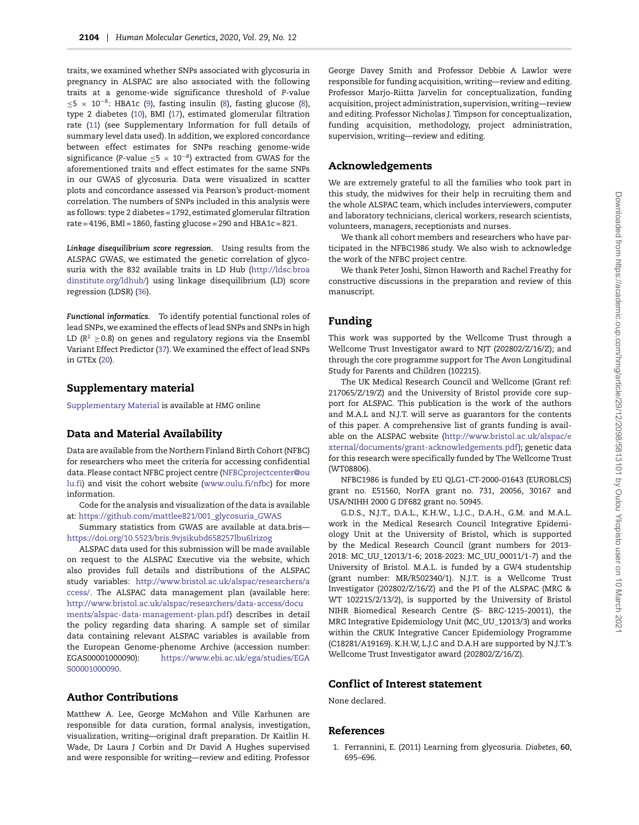traits, we examined whether SNPs associated with glycosuria in pregnancy in ALSPAC are also associated with the following traits at a genome-wide significance threshold of *P*-value ≤5 × 10−8: HBA1c [\(9\)](#page-7-6), fasting insulin [\(8\)](#page-7-5), fasting glucose [\(8\)](#page-7-5), type 2 diabetes [\(10\)](#page-7-7), BMI [\(17\)](#page-7-13), estimated glomerular filtration rate [\(11\)](#page-7-8) (see Supplementary Information for full details of summary level data used). In addition, we explored concordance between effect estimates for SNPs reaching genome-wide significance (*P*-value ≤5 × 10−8) extracted from GWAS for the aforementioned traits and effect estimates for the same SNPs in our GWAS of glycosuria. Data were visualized in scatter plots and concordance assessed via Pearson's product-moment correlation. The numbers of SNPs included in this analysis were as follows: type 2 diabetes = 1792, estimated glomerular filtration rate = 4196, BMI = 1860, fasting glucose = 290 and HBA1c = 821.

*Linkage disequilibrium score regression.* Using results from the ALSPAC GWAS, we estimated the genetic correlation of glycosuria with the 832 available traits in LD Hub [\(http://ldsc.broa](http://ldsc.broadinstitute.org/ldhub/) [dinstitute.org/ldhub/\)](http://ldsc.broadinstitute.org/ldhub/) using linkage disequilibrium (LD) score regression (LDSR) [\(36\)](#page-8-5).

*Functional informatics.* To identify potential functional roles of lead SNPs, we examined the effects of lead SNPs and SNPs in high LD ( $R^2 \ge 0.8$ ) on genes and regulatory regions via the Ensembl Variant Effect Predictor [\(37\)](#page-8-6).We examined the effect of lead SNPs in GTEx [\(20\)](#page-7-16).

#### **Supplementary material**

[Supplementary Material](https://academic.oup.com/hmg/article-lookup/doi/10.1093/hmg/ddaa054#supplementary-data) is available at *HMG* online

# **Data and Material Availability**

Data are available from the Northern Finland Birth Cohort (NFBC) for researchers who meet the criteria for accessing confidential data. Please contact NFBC project centre [\(NFBCprojectcenter@ou](NFBCprojectcenter@oulu.fi) [lu.fi\)](NFBCprojectcenter@oulu.fi) and visit the cohort website [\(www.oulu.fi/nfbc\)](www.oulu.fi/nfbc) for more information.

Code for the analysis and visualization of the data is available at: [https://github.com/mattlee821/001\\_glycosuria\\_GWAS](https://github.com/mattlee821/001_glycosuria_GWAS)

Summary statistics from GWAS are available at data.bris <https://doi.org/10.5523/bris.9vjsikubd658257lbu6lrizog>

ALSPAC data used for this submission will be made available on request to the ALSPAC Executive via the website, which also provides full details and distributions of the ALSPAC study variables: [http://www.bristol.ac.uk/alspac/researchers/a](http://www.bristol.ac.uk/alspac/researchers/access/) [ccess/.](http://www.bristol.ac.uk/alspac/researchers/access/) The ALSPAC data management plan (available here: [http://www.bristol.ac.uk/alspac/researchers/data-access/docu](http://www.bristol.ac.uk/alspac/researchers/data-access/documents/alspac-data-management-plan.pdf) [ments/alspac-data-management-plan.pdf\)](http://www.bristol.ac.uk/alspac/researchers/data-access/documents/alspac-data-management-plan.pdf) describes in detail the policy regarding data sharing. A sample set of similar data containing relevant ALSPAC variables is available from the European Genome-phenome Archive (accession number: EGAS00001000090): [https://www.ebi.ac.uk/ega/studies/EGA](https://www.ebi.ac.uk/ega/studies/EGAS00001000090) [S00001000090.](https://www.ebi.ac.uk/ega/studies/EGAS00001000090)

# **Author Contributions**

Matthew A. Lee, George McMahon and Ville Karhunen are responsible for data curation, formal analysis, investigation, visualization, writing—original draft preparation. Dr Kaitlin H. Wade, Dr Laura J Corbin and Dr David A Hughes supervised and were responsible for writing—review and editing. Professor George Davey Smith and Professor Debbie A Lawlor were responsible for funding acquisition, writing—review and editing. Professor Marjo-Riitta Jarvelin for conceptualization, funding acquisition, project administration, supervision, writing—review and editing. Professor Nicholas J. Timpson for conceptualization, funding acquisition, methodology, project administration, supervision, writing—review and editing.

# **Acknowledgements**

We are extremely grateful to all the families who took part in this study, the midwives for their help in recruiting them and the whole ALSPAC team, which includes interviewers, computer and laboratory technicians, clerical workers, research scientists, volunteers, managers, receptionists and nurses.

We thank all cohort members and researchers who have participated in the NFBC1986 study. We also wish to acknowledge the work of the NFBC project centre.

We thank Peter Joshi, Simon Haworth and Rachel Freathy for constructive discussions in the preparation and review of this manuscript.

# **Funding**

This work was supported by the Wellcome Trust through a Wellcome Trust Investigator award to NJT (202802/Z/16/Z); and through the core programme support for The Avon Longitudinal Study for Parents and Children (102215).

The UK Medical Research Council and Wellcome (Grant ref: 217065/Z/19/Z) and the University of Bristol provide core support for ALSPAC. This publication is the work of the authors and M.A.L and N.J.T. will serve as guarantors for the contents of this paper. A comprehensive list of grants funding is available on the ALSPAC website [\(http://www.bristol.ac.uk/alspac/e](http://www.bristol.ac.uk/alspac/external/documents/grant-acknowledgements.pdf) [xternal/documents/grant-acknowledgements.pdf\)](http://www.bristol.ac.uk/alspac/external/documents/grant-acknowledgements.pdf); genetic data for this research were specifically funded by The Wellcome Trust (WT08806).

NFBC1986 is funded by EU QLG1-CT-2000-01643 (EUROBLCS) grant no. E51560, NorFA grant no. 731, 20056, 30167 and USA/NIHH 2000 G DF682 grant no. 50945.

G.D.S., N.J.T., D.A.L., K.H.W., L.J.C., D.A.H., G.M. and M.A.L. work in the Medical Research Council Integrative Epidemiology Unit at the University of Bristol, which is supported by the Medical Research Council (grant numbers for 2013- 2018: MC\_UU\_12013/1-6; 2018-2023: MC\_UU\_00011/1-7) and the University of Bristol. M.A.L. is funded by a GW4 studentship (grant number: MR/R502340/1). N.J.T. is a Wellcome Trust Investigator (202802/Z/16/Z) and the PI of the ALSPAC (MRC & WT 102215/2/13/2), is supported by the University of Bristol NIHR Biomedical Research Centre (S- BRC-1215-20011), the MRC Integrative Epidemiology Unit (MC\_UU\_12013/3) and works within the CRUK Integrative Cancer Epidemiology Programme (C18281/A19169). K.H.W, L.J.C and D.A.H are supported by N.J.T.'s Wellcome Trust Investigator award (202802/Z/16/Z).

#### **Conf lict of Interest statement**

None declared.

#### **References**

<span id="page-6-0"></span>1. Ferrannini, E. (2011) Learning from glycosuria. *Diabetes*, **60**, 695–696.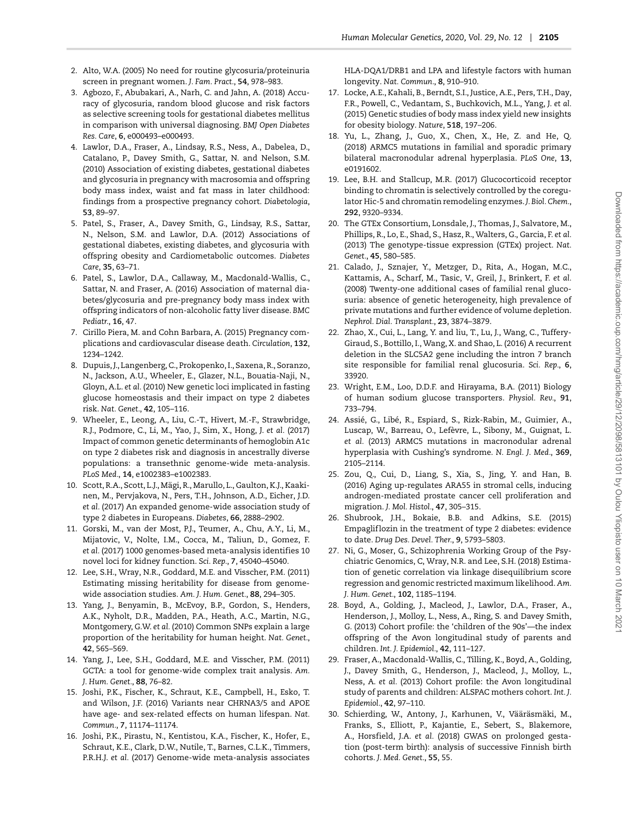- <span id="page-7-0"></span>2. Alto, W.A. (2005) No need for routine glycosuria/proteinuria screen in pregnant women. *J. Fam. Pract.*, **54**, 978–983.
- <span id="page-7-1"></span>3. Agbozo, F., Abubakari, A., Narh, C. and Jahn, A. (2018) Accuracy of glycosuria, random blood glucose and risk factors as selective screening tools for gestational diabetes mellitus in comparison with universal diagnosing. *BMJ Open Diabetes Res. Care*, **6**, e000493–e000493.
- <span id="page-7-2"></span>4. Lawlor, D.A., Fraser, A., Lindsay, R.S., Ness, A., Dabelea, D., Catalano, P., Davey Smith, G., Sattar, N. and Nelson, S.M. (2010) Association of existing diabetes, gestational diabetes and glycosuria in pregnancy with macrosomia and offspring body mass index, waist and fat mass in later childhood: findings from a prospective pregnancy cohort. *Diabetologia*, **53**, 89–97.
- <span id="page-7-26"></span>5. Patel, S., Fraser, A., Davey Smith, G., Lindsay, R.S., Sattar, N., Nelson, S.M. and Lawlor, D.A. (2012) Associations of gestational diabetes, existing diabetes, and glycosuria with offspring obesity and Cardiometabolic outcomes. *Diabetes Care*, **35**, 63–71.
- <span id="page-7-3"></span>6. Patel, S., Lawlor, D.A., Callaway, M., Macdonald-Wallis, C., Sattar, N. and Fraser, A. (2016) Association of maternal diabetes/glycosuria and pre-pregnancy body mass index with offspring indicators of non-alcoholic fatty liver disease. *BMC Pediatr.*, **16**, 47.
- <span id="page-7-4"></span>7. Cirillo Piera, M. and Cohn Barbara, A. (2015) Pregnancy complications and cardiovascular disease death. *Circulation*, **132**, 1234–1242.
- <span id="page-7-5"></span>8. Dupuis, J., Langenberg, C., Prokopenko, I., Saxena, R., Soranzo, N., Jackson, A.U., Wheeler, E., Glazer, N.L., Bouatia-Naji, N., Gloyn, A.L. *et al.* (2010) New genetic loci implicated in fasting glucose homeostasis and their impact on type 2 diabetes risk. *Nat. Genet.*, **42**, 105–116.
- <span id="page-7-6"></span>9. Wheeler, E., Leong, A., Liu, C.-T., Hivert, M.-F., Strawbridge, R.J., Podmore, C., Li, M., Yao, J., Sim, X., Hong, J. *et al.* (2017) Impact of common genetic determinants of hemoglobin A1c on type 2 diabetes risk and diagnosis in ancestrally diverse populations: a transethnic genome-wide meta-analysis. *PLoS Med.*, **14**, e1002383–e1002383.
- <span id="page-7-7"></span>10. Scott, R.A., Scott, L.J., Mägi, R., Marullo, L., Gaulton, K.J., Kaakinen, M., Pervjakova, N., Pers, T.H., Johnson, A.D., Eicher, J.D. *et al.* (2017) An expanded genome-wide association study of type 2 diabetes in Europeans. *Diabetes*, **66**, 2888–2902.
- <span id="page-7-8"></span>11. Gorski, M., van der Most, P.J., Teumer, A., Chu, A.Y., Li, M., Mijatovic, V., Nolte, I.M., Cocca, M., Taliun, D., Gomez, F. *et al.* (2017) 1000 genomes-based meta-analysis identifies 10 novel loci for kidney function. *Sci. Rep.*, **7**, 45040–45040.
- <span id="page-7-9"></span>12. Lee, S.H., Wray, N.R., Goddard, M.E. and Visscher, P.M. (2011) Estimating missing heritability for disease from genomewide association studies. *Am. J. Hum. Genet.*, **88**, 294–305.
- 13. Yang, J., Benyamin, B., McEvoy, B.P., Gordon, S., Henders, A.K., Nyholt, D.R., Madden, P.A., Heath, A.C., Martin, N.G., Montgomery, G.W. *et al.* (2010) Common SNPs explain a large proportion of the heritability for human height. *Nat. Genet.*, **42**, 565–569.
- <span id="page-7-10"></span>14. Yang, J., Lee, S.H., Goddard, M.E. and Visscher, P.M. (2011) GCTA: a tool for genome-wide complex trait analysis. *Am. J. Hum. Genet.*, **88**, 76–82.
- <span id="page-7-11"></span>15. Joshi, P.K., Fischer, K., Schraut, K.E., Campbell, H., Esko, T. and Wilson, J.F. (2016) Variants near CHRNA3/5 and APOE have age- and sex-related effects on human lifespan. *Nat. Commun.*, **7**, 11174–11174.
- <span id="page-7-12"></span>16. Joshi, P.K., Pirastu, N., Kentistou, K.A., Fischer, K., Hofer, E., Schraut, K.E., Clark, D.W., Nutile, T., Barnes, C.L.K., Timmers, P.R.H.J. *et al.* (2017) Genome-wide meta-analysis associates

HLA-DQA1/DRB1 and LPA and lifestyle factors with human longevity. *Nat. Commun.*, **8**, 910–910.

- <span id="page-7-13"></span>17. Locke, A.E., Kahali, B., Berndt, S.I., Justice, A.E., Pers, T.H., Day, F.R., Powell, C., Vedantam, S., Buchkovich, M.L., Yang, J. *et al.* (2015) Genetic studies of body mass index yield new insights for obesity biology. *Nature*, **518**, 197–206.
- <span id="page-7-14"></span>18. Yu, L., Zhang, J., Guo, X., Chen, X., He, Z. and He, Q. (2018) ARMC5 mutations in familial and sporadic primary bilateral macronodular adrenal hyperplasia. *PLoS One*, **13**, e0191602.
- <span id="page-7-15"></span>19. Lee, B.H. and Stallcup, M.R. (2017) Glucocorticoid receptor binding to chromatin is selectively controlled by the coregulator Hic-5 and chromatin remodeling enzymes. *J. Biol. Chem.*, **292**, 9320–9334.
- <span id="page-7-16"></span>20. The GTEx Consortium, Lonsdale, J., Thomas, J., Salvatore, M., Phillips, R., Lo, E., Shad, S., Hasz, R., Walters, G., Garcia, F. *et al.* (2013) The genotype-tissue expression (GTEx) project. *Nat. Genet.*, **45**, 580–585.
- <span id="page-7-17"></span>21. Calado, J., Sznajer, Y., Metzger, D., Rita, A., Hogan, M.C., Kattamis, A., Scharf, M., Tasic, V., Greil, J., Brinkert, F. *et al.* (2008) Twenty-one additional cases of familial renal glucosuria: absence of genetic heterogeneity, high prevalence of private mutations and further evidence of volume depletion. *Nephrol. Dial. Transplant.*, **23**, 3874–3879.
- <span id="page-7-18"></span>22. Zhao, X., Cui, L., Lang, Y. and liu, T., Lu, J., Wang, C., Tuffery-Giraud, S., Bottillo, I., Wang, X. and Shao, L. (2016) A recurrent deletion in the SLC5A2 gene including the intron 7 branch site responsible for familial renal glucosuria. *Sci. Rep.*, **6**, 33920.
- <span id="page-7-19"></span>23. Wright, E.M., Loo, D.D.F. and Hirayama, B.A. (2011) Biology of human sodium glucose transporters. *Physiol. Rev.*, **91**, 733–794.
- <span id="page-7-20"></span>24. Assié, G., Libé, R., Espiard, S., Rizk-Rabin, M., Guimier, A., Luscap, W., Barreau, O., Lefèvre, L., Sibony, M., Guignat, L. *et al.* (2013) ARMC5 mutations in macronodular adrenal hyperplasia with Cushing's syndrome. *N. Engl. J. Med.*, **369**, 2105–2114.
- <span id="page-7-21"></span>25. Zou, Q., Cui, D., Liang, S., Xia, S., Jing, Y. and Han, B. (2016) Aging up-regulates ARA55 in stromal cells, inducing androgen-mediated prostate cancer cell proliferation and migration. *J. Mol. Histol.*, **47**, 305–315.
- <span id="page-7-22"></span>26. Shubrook, J.H., Bokaie, B.B. and Adkins, S.E. (2015) Empaglif lozin in the treatment of type 2 diabetes: evidence to date. *Drug Des. Devel. Ther.*, **9**, 5793–5803.
- <span id="page-7-23"></span>27. Ni, G., Moser, G., Schizophrenia Working Group of the Psychiatric Genomics, C, Wray, N.R. and Lee, S.H. (2018) Estimation of genetic correlation via linkage disequilibrium score regression and genomic restricted maximum likelihood. *Am. J. Hum. Genet.*, **102**, 1185–1194.
- <span id="page-7-24"></span>28. Boyd, A., Golding, J., Macleod, J., Lawlor, D.A., Fraser, A., Henderson, J., Molloy, L., Ness, A., Ring, S. and Davey Smith, G. (2013) Cohort profile: the 'children of the 90s'—the index offspring of the Avon longitudinal study of parents and children. *Int. J. Epidemiol.*, **42**, 111–127.
- <span id="page-7-25"></span>29. Fraser, A., Macdonald-Wallis, C., Tilling, K., Boyd, A., Golding, J., Davey Smith, G., Henderson, J., Macleod, J., Molloy, L., Ness, A. *et al.* (2013) Cohort profile: the Avon longitudinal study of parents and children: ALSPAC mothers cohort. *Int. J. Epidemiol.*, **42**, 97–110.
- <span id="page-7-27"></span>30. Schierding, W., Antony, J., Karhunen, V., Vääräsmäki, M., Franks, S., Elliott, P., Kajantie, E., Sebert, S., Blakemore, A., Horsfield, J.A. *et al.* (2018) GWAS on prolonged gestation (post-term birth): analysis of successive Finnish birth cohorts. *J. Med. Genet.*, **55**, 55.